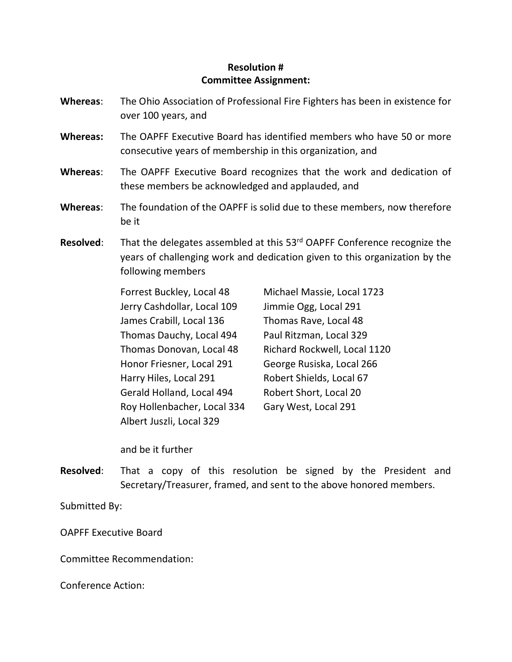- **Whereas**: The Ohio Association of Professional Fire Fighters has been in existence for over 100 years, and
- **Whereas:** The OAPFF Executive Board has identified members who have 50 or more consecutive years of membership in this organization, and
- **Whereas**: The OAPFF Executive Board recognizes that the work and dedication of these members be acknowledged and applauded, and
- **Whereas**: The foundation of the OAPFF is solid due to these members, now therefore be it
- **Resolved:** That the delegates assembled at this 53<sup>rd</sup> OAPFF Conference recognize the years of challenging work and dedication given to this organization by the following members

Forrest Buckley, Local 48 Jerry Cashdollar, Local 109 James Crabill, Local 136 Thomas Dauchy, Local 494 Thomas Donovan, Local 48 Honor Friesner, Local 291 Harry Hiles, Local 291 Gerald Holland, Local 494 Roy Hollenbacher, Local 334 Albert Juszli, Local 329

Michael Massie, Local 1723 Jimmie Ogg, Local 291 Thomas Rave, Local 48 Paul Ritzman, Local 329 Richard Rockwell, Local 1120 George Rusiska, Local 266 Robert Shields, Local 67 Robert Short, Local 20 Gary West, Local 291

and be it further

**Resolved**: That a copy of this resolution be signed by the President and Secretary/Treasurer, framed, and sent to the above honored members.

Submitted By:

OAPFF Executive Board

Committee Recommendation: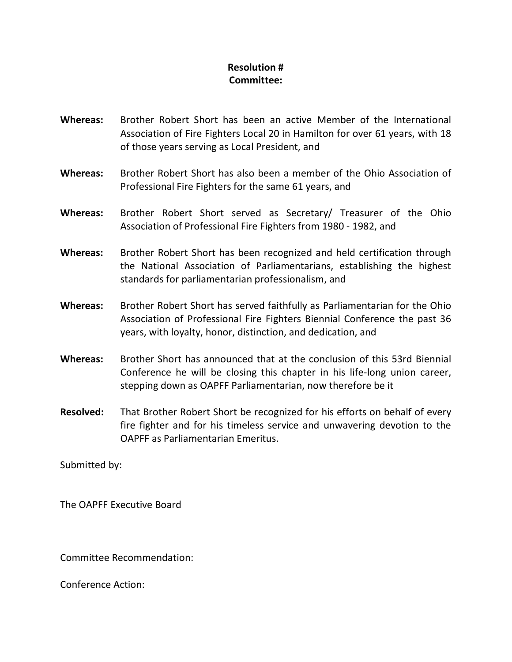- **Whereas:** Brother Robert Short has been an active Member of the International Association of Fire Fighters Local 20 in Hamilton for over 61 years, with 18 of those years serving as Local President, and
- **Whereas:** Brother Robert Short has also been a member of the Ohio Association of Professional Fire Fighters for the same 61 years, and
- **Whereas:** Brother Robert Short served as Secretary/ Treasurer of the Ohio Association of Professional Fire Fighters from 1980 - 1982, and
- **Whereas:** Brother Robert Short has been recognized and held certification through the National Association of Parliamentarians, establishing the highest standards for parliamentarian professionalism, and
- **Whereas:** Brother Robert Short has served faithfully as Parliamentarian for the Ohio Association of Professional Fire Fighters Biennial Conference the past 36 years, with loyalty, honor, distinction, and dedication, and
- **Whereas:** Brother Short has announced that at the conclusion of this 53rd Biennial Conference he will be closing this chapter in his life-long union career, stepping down as OAPFF Parliamentarian, now therefore be it
- **Resolved:** That Brother Robert Short be recognized for his efforts on behalf of every fire fighter and for his timeless service and unwavering devotion to the OAPFF as Parliamentarian Emeritus.

Submitted by:

The OAPFF Executive Board

Committee Recommendation: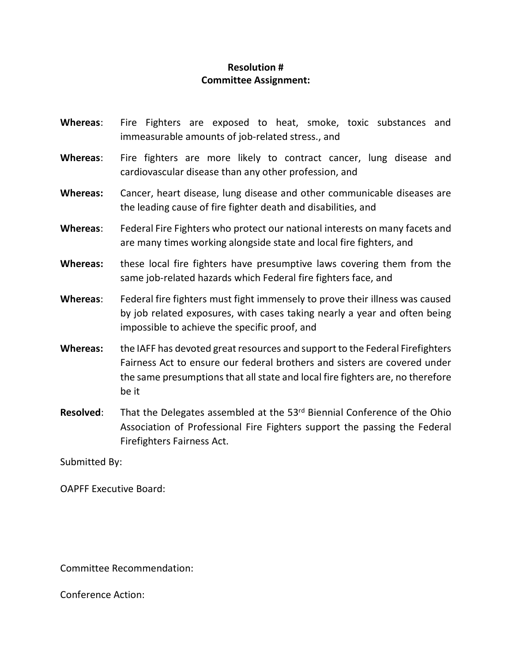- **Whereas**: Fire Fighters are exposed to heat, smoke, toxic substances and immeasurable amounts of job-related stress., and
- **Whereas**: Fire fighters are more likely to contract cancer, lung disease and cardiovascular disease than any other profession, and
- **Whereas:** Cancer, heart disease, lung disease and other communicable diseases are the leading cause of fire fighter death and disabilities, and
- **Whereas**: Federal Fire Fighters who protect our national interests on many facets and are many times working alongside state and local fire fighters, and
- **Whereas:** these local fire fighters have presumptive laws covering them from the same job-related hazards which Federal fire fighters face, and
- **Whereas**: Federal fire fighters must fight immensely to prove their illness was caused by job related exposures, with cases taking nearly a year and often being impossible to achieve the specific proof, and
- **Whereas:** the IAFF has devoted great resources and support to the Federal Firefighters Fairness Act to ensure our federal brothers and sisters are covered under the same presumptions that all state and local fire fighters are, no therefore be it
- **Resolved:** That the Delegates assembled at the 53<sup>rd</sup> Biennial Conference of the Ohio Association of Professional Fire Fighters support the passing the Federal Firefighters Fairness Act.

Submitted By:

OAPFF Executive Board:

Committee Recommendation: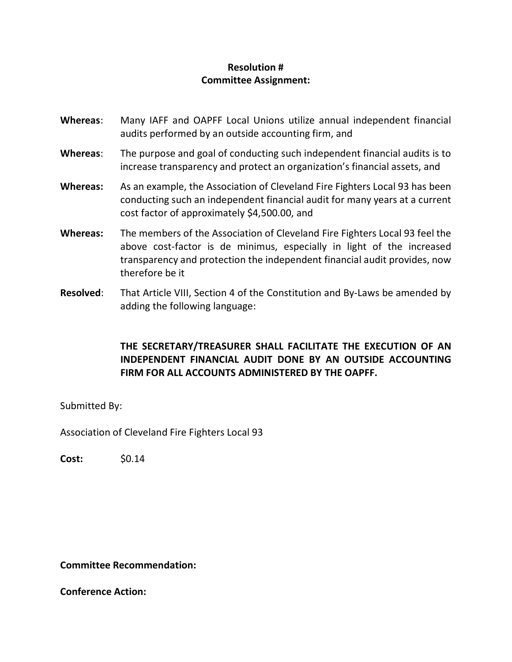- **Whereas**: Many IAFF and OAPFF Local Unions utilize annual independent financial audits performed by an outside accounting firm, and
- **Whereas**: The purpose and goal of conducting such independent financial audits is to increase transparency and protect an organization's financial assets, and
- **Whereas:** As an example, the Association of Cleveland Fire Fighters Local 93 has been conducting such an independent financial audit for many years at a current cost factor of approximately \$4,500.00, and
- **Whereas:** The members of the Association of Cleveland Fire Fighters Local 93 feel the above cost-factor is de minimus, especially in light of the increased transparency and protection the independent financial audit provides, now therefore be it
- **Resolved**: That Article VIII, Section 4 of the Constitution and By-Laws be amended by adding the following language:

#### **THE SECRETARY/TREASURER SHALL FACILITATE THE EXECUTION OF AN INDEPENDENT FINANCIAL AUDIT DONE BY AN OUTSIDE ACCOUNTING FIRM FOR ALL ACCOUNTS ADMINISTERED BY THE OAPFF.**

Submitted By:

Association of Cleveland Fire Fighters Local 93

**Cost:** \$0.14

#### **Committee Recommendation:**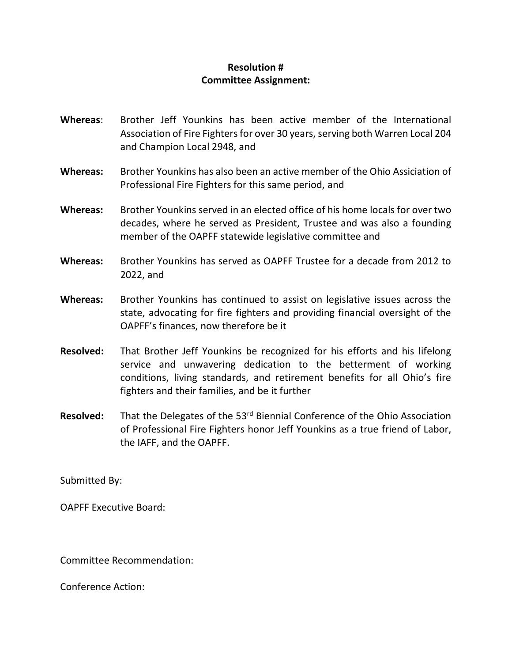- **Whereas**: Brother Jeff Younkins has been active member of the International Association of Fire Fighters for over 30 years, serving both Warren Local 204 and Champion Local 2948, and
- **Whereas:** Brother Younkins has also been an active member of the Ohio Assiciation of Professional Fire Fighters for this same period, and
- **Whereas:** Brother Younkins served in an elected office of his home locals for over two decades, where he served as President, Trustee and was also a founding member of the OAPFF statewide legislative committee and
- **Whereas:** Brother Younkins has served as OAPFF Trustee for a decade from 2012 to 2022, and
- **Whereas:** Brother Younkins has continued to assist on legislative issues across the state, advocating for fire fighters and providing financial oversight of the OAPFF's finances, now therefore be it
- **Resolved:** That Brother Jeff Younkins be recognized for his efforts and his lifelong service and unwavering dedication to the betterment of working conditions, living standards, and retirement benefits for all Ohio's fire fighters and their families, and be it further
- **Resolved:** That the Delegates of the 53<sup>rd</sup> Biennial Conference of the Ohio Association of Professional Fire Fighters honor Jeff Younkins as a true friend of Labor, the IAFF, and the OAPFF.

Submitted By:

OAPFF Executive Board:

Committee Recommendation: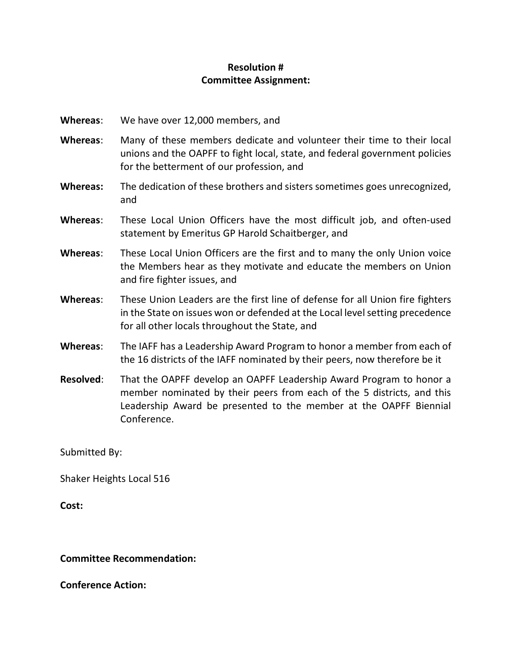- **Whereas**: We have over 12,000 members, and
- **Whereas**: Many of these members dedicate and volunteer their time to their local unions and the OAPFF to fight local, state, and federal government policies for the betterment of our profession, and
- **Whereas:** The dedication of these brothers and sisters sometimes goes unrecognized, and
- **Whereas**: These Local Union Officers have the most difficult job, and often-used statement by Emeritus GP Harold Schaitberger, and
- **Whereas**: These Local Union Officers are the first and to many the only Union voice the Members hear as they motivate and educate the members on Union and fire fighter issues, and
- **Whereas**: These Union Leaders are the first line of defense for all Union fire fighters in the State on issues won or defended at the Local level setting precedence for all other locals throughout the State, and
- **Whereas**: The IAFF has a Leadership Award Program to honor a member from each of the 16 districts of the IAFF nominated by their peers, now therefore be it
- **Resolved**: That the OAPFF develop an OAPFF Leadership Award Program to honor a member nominated by their peers from each of the 5 districts, and this Leadership Award be presented to the member at the OAPFF Biennial Conference.

Submitted By:

Shaker Heights Local 516

**Cost:**

#### **Committee Recommendation:**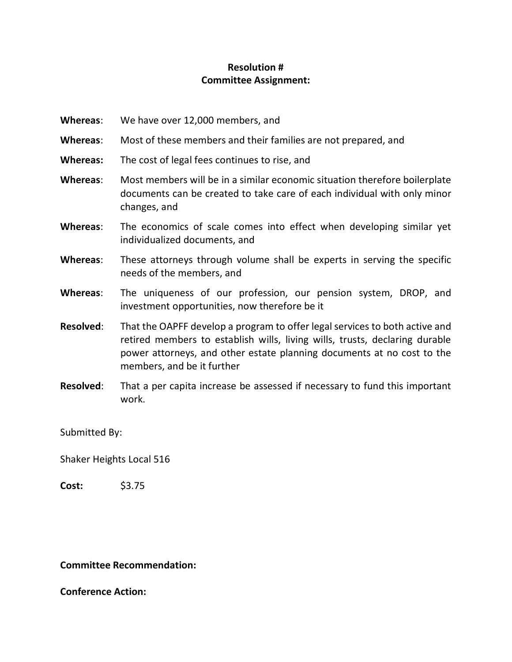- **Whereas**: We have over 12,000 members, and
- **Whereas**: Most of these members and their families are not prepared, and
- **Whereas:** The cost of legal fees continues to rise, and
- **Whereas**: Most members will be in a similar economic situation therefore boilerplate documents can be created to take care of each individual with only minor changes, and
- **Whereas**: The economics of scale comes into effect when developing similar yet individualized documents, and
- **Whereas**: These attorneys through volume shall be experts in serving the specific needs of the members, and
- **Whereas**: The uniqueness of our profession, our pension system, DROP, and investment opportunities, now therefore be it
- **Resolved**: That the OAPFF develop a program to offer legal services to both active and retired members to establish wills, living wills, trusts, declaring durable power attorneys, and other estate planning documents at no cost to the members, and be it further
- **Resolved**: That a per capita increase be assessed if necessary to fund this important work.

Submitted By:

Shaker Heights Local 516

**Cost:** \$3.75

#### **Committee Recommendation:**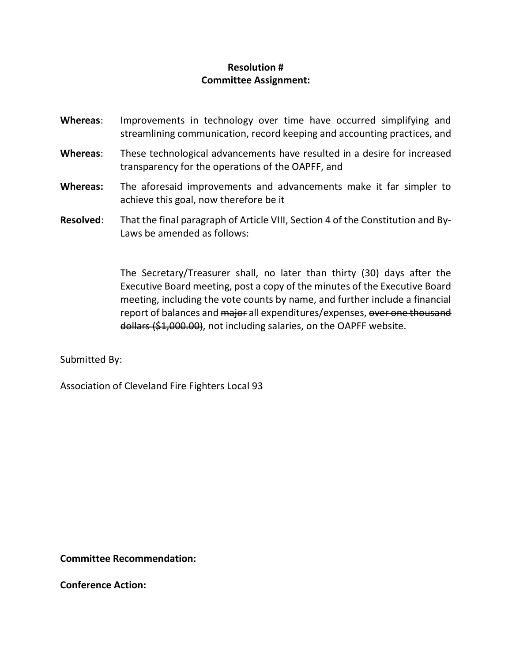- **Whereas**: Improvements in technology over time have occurred simplifying and streamlining communication, record keeping and accounting practices, and
- **Whereas**: These technological advancements have resulted in a desire for increased transparency for the operations of the OAPFF, and
- **Whereas:** The aforesaid improvements and advancements make it far simpler to achieve this goal, now therefore be it
- **Resolved**: That the final paragraph of Article VIII, Section 4 of the Constitution and By-Laws be amended as follows:

The Secretary/Treasurer shall, no later than thirty (30) days after the Executive Board meeting, post a copy of the minutes of the Executive Board meeting, including the vote counts by name, and further include a financial report of balances and major all expenditures/expenses, over one thousand dollars (\$1,000.00), not including salaries, on the OAPFF website.

Submitted By:

Association of Cleveland Fire Fighters Local 93

**Committee Recommendation:**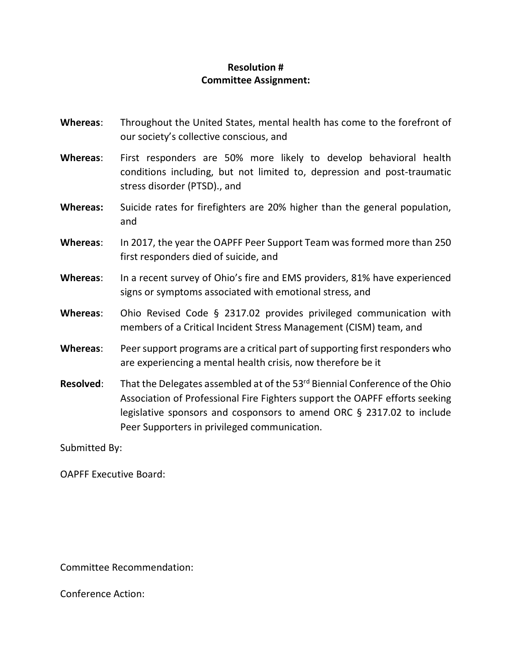- **Whereas**: Throughout the United States, mental health has come to the forefront of our society's collective conscious, and
- **Whereas**: First responders are 50% more likely to develop behavioral health conditions including, but not limited to, depression and post-traumatic stress disorder (PTSD)., and
- **Whereas:** Suicide rates for firefighters are 20% higher than the general population, and
- **Whereas**: In 2017, the year the OAPFF Peer Support Team was formed more than 250 first responders died of suicide, and
- **Whereas**: In a recent survey of Ohio's fire and EMS providers, 81% have experienced signs or symptoms associated with emotional stress, and
- **Whereas**: Ohio Revised Code § 2317.02 provides privileged communication with members of a Critical Incident Stress Management (CISM) team, and
- **Whereas**: Peer support programs are a critical part of supporting first responders who are experiencing a mental health crisis, now therefore be it
- **Resolved:** That the Delegates assembled at of the 53<sup>rd</sup> Biennial Conference of the Ohio Association of Professional Fire Fighters support the OAPFF efforts seeking legislative sponsors and cosponsors to amend ORC § 2317.02 to include Peer Supporters in privileged communication.

Submitted By:

OAPFF Executive Board:

Committee Recommendation: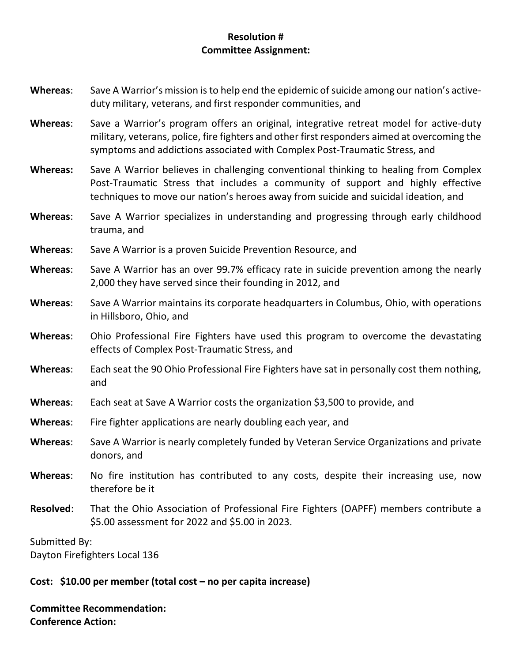| Whereas:         | Save A Warrior's mission is to help end the epidemic of suicide among our nation's active-<br>duty military, veterans, and first responder communities, and                                                                                                          |  |
|------------------|----------------------------------------------------------------------------------------------------------------------------------------------------------------------------------------------------------------------------------------------------------------------|--|
| Whereas:         | Save a Warrior's program offers an original, integrative retreat model for active-duty<br>military, veterans, police, fire fighters and other first responders aimed at overcoming the<br>symptoms and addictions associated with Complex Post-Traumatic Stress, and |  |
| <b>Whereas:</b>  | Save A Warrior believes in challenging conventional thinking to healing from Complex<br>Post-Traumatic Stress that includes a community of support and highly effective<br>techniques to move our nation's heroes away from suicide and suicidal ideation, and       |  |
| Whereas:         | Save A Warrior specializes in understanding and progressing through early childhood<br>trauma, and                                                                                                                                                                   |  |
| Whereas:         | Save A Warrior is a proven Suicide Prevention Resource, and                                                                                                                                                                                                          |  |
| Whereas:         | Save A Warrior has an over 99.7% efficacy rate in suicide prevention among the nearly<br>2,000 they have served since their founding in 2012, and                                                                                                                    |  |
| Whereas:         | Save A Warrior maintains its corporate headquarters in Columbus, Ohio, with operations<br>in Hillsboro, Ohio, and                                                                                                                                                    |  |
| Whereas:         | Ohio Professional Fire Fighters have used this program to overcome the devastating<br>effects of Complex Post-Traumatic Stress, and                                                                                                                                  |  |
| Whereas:         | Each seat the 90 Ohio Professional Fire Fighters have sat in personally cost them nothing,<br>and                                                                                                                                                                    |  |
| Whereas:         | Each seat at Save A Warrior costs the organization \$3,500 to provide, and                                                                                                                                                                                           |  |
| Whereas:         | Fire fighter applications are nearly doubling each year, and                                                                                                                                                                                                         |  |
| Whereas:         | Save A Warrior is nearly completely funded by Veteran Service Organizations and private<br>donors, and                                                                                                                                                               |  |
| Whereas:         | No fire institution has contributed to any costs, despite their increasing use, now<br>therefore be it                                                                                                                                                               |  |
| <b>Resolved:</b> | That the Ohio Association of Professional Fire Fighters (OAPFF) members contribute a<br>\$5.00 assessment for 2022 and \$5.00 in 2023.                                                                                                                               |  |
| Submitted By:    |                                                                                                                                                                                                                                                                      |  |

Dayton Firefighters Local 136

# **Cost: \$10.00 per member (total cost – no per capita increase)**

**Committee Recommendation: Conference Action:**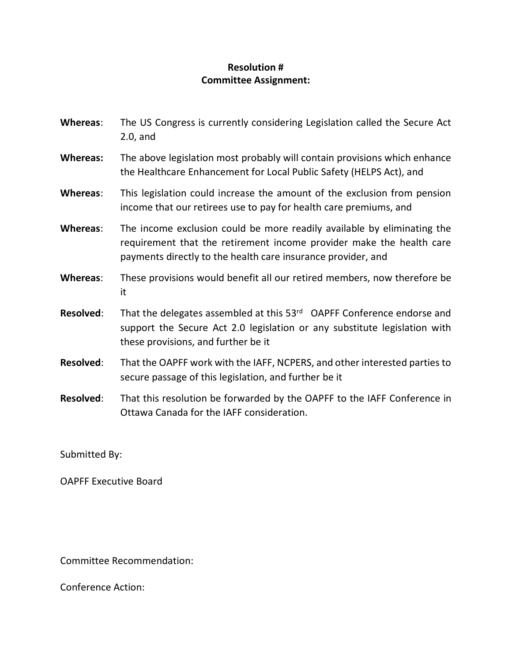| Whereas:         | The US Congress is currently considering Legislation called the Secure Act<br>$2.0$ , and                                                                                                                       |
|------------------|-----------------------------------------------------------------------------------------------------------------------------------------------------------------------------------------------------------------|
| <b>Whereas:</b>  | The above legislation most probably will contain provisions which enhance<br>the Healthcare Enhancement for Local Public Safety (HELPS Act), and                                                                |
| Whereas:         | This legislation could increase the amount of the exclusion from pension<br>income that our retirees use to pay for health care premiums, and                                                                   |
| Whereas:         | The income exclusion could be more readily available by eliminating the<br>requirement that the retirement income provider make the health care<br>payments directly to the health care insurance provider, and |
| Whereas:         | These provisions would benefit all our retired members, now therefore be<br>it                                                                                                                                  |
| <b>Resolved:</b> | That the delegates assembled at this 53rd OAPFF Conference endorse and<br>support the Secure Act 2.0 legislation or any substitute legislation with<br>these provisions, and further be it                      |
| <b>Resolved:</b> | That the OAPFF work with the IAFF, NCPERS, and other interested parties to<br>secure passage of this legislation, and further be it                                                                             |
| <b>Resolved:</b> | That this resolution be forwarded by the OAPFF to the IAFF Conference in<br>Ottawa Canada for the IAFF consideration.                                                                                           |

Submitted By:

OAPFF Executive Board

Committee Recommendation: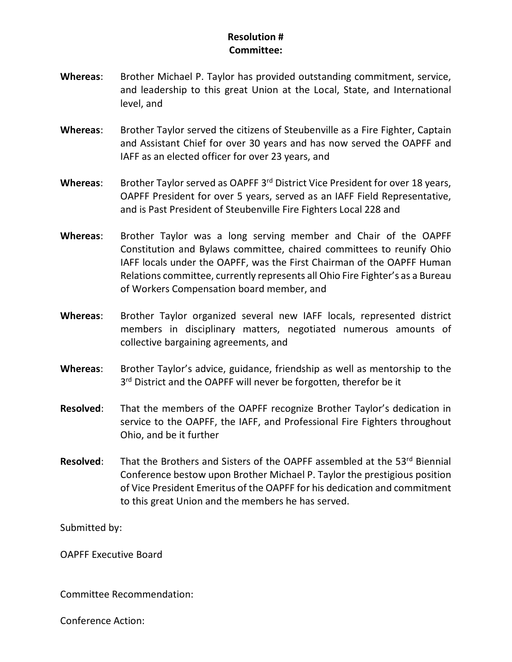- **Whereas**: Brother Michael P. Taylor has provided outstanding commitment, service, and leadership to this great Union at the Local, State, and International level, and
- **Whereas**: Brother Taylor served the citizens of Steubenville as a Fire Fighter, Captain and Assistant Chief for over 30 years and has now served the OAPFF and IAFF as an elected officer for over 23 years, and
- Whereas: Brother Taylor served as OAPFF 3<sup>rd</sup> District Vice President for over 18 years, OAPFF President for over 5 years, served as an IAFF Field Representative, and is Past President of Steubenville Fire Fighters Local 228 and
- **Whereas**: Brother Taylor was a long serving member and Chair of the OAPFF Constitution and Bylaws committee, chaired committees to reunify Ohio IAFF locals under the OAPFF, was the First Chairman of the OAPFF Human Relations committee, currently represents all Ohio Fire Fighter's as a Bureau of Workers Compensation board member, and
- **Whereas**: Brother Taylor organized several new IAFF locals, represented district members in disciplinary matters, negotiated numerous amounts of collective bargaining agreements, and
- **Whereas**: Brother Taylor's advice, guidance, friendship as well as mentorship to the 3<sup>rd</sup> District and the OAPFF will never be forgotten, therefor be it
- **Resolved**: That the members of the OAPFF recognize Brother Taylor's dedication in service to the OAPFF, the IAFF, and Professional Fire Fighters throughout Ohio, and be it further
- **Resolved:** That the Brothers and Sisters of the OAPFF assembled at the 53<sup>rd</sup> Biennial Conference bestow upon Brother Michael P. Taylor the prestigious position of Vice President Emeritus of the OAPFF for his dedication and commitment to this great Union and the members he has served.

Submitted by:

OAPFF Executive Board

Committee Recommendation: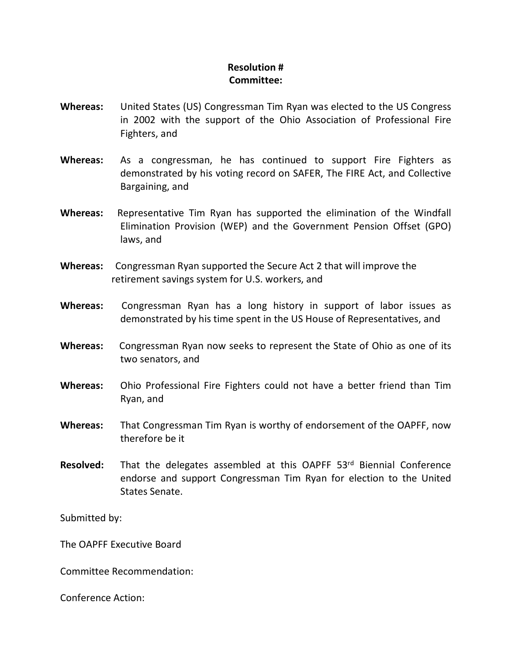- **Whereas:** United States (US) Congressman Tim Ryan was elected to the US Congress in 2002 with the support of the Ohio Association of Professional Fire Fighters, and
- **Whereas:** As a congressman, he has continued to support Fire Fighters as demonstrated by his voting record on SAFER, The FIRE Act, and Collective Bargaining, and
- **Whereas:** Representative Tim Ryan has supported the elimination of the Windfall Elimination Provision (WEP) and the Government Pension Offset (GPO) laws, and
- **Whereas:** Congressman Ryan supported the Secure Act 2 that will improve the retirement savings system for U.S. workers, and
- **Whereas:** Congressman Ryan has a long history in support of labor issues as demonstrated by his time spent in the US House of Representatives, and
- **Whereas:** Congressman Ryan now seeks to represent the State of Ohio as one of its two senators, and
- **Whereas:** Ohio Professional Fire Fighters could not have a better friend than Tim Ryan, and
- **Whereas:** That Congressman Tim Ryan is worthy of endorsement of the OAPFF, now therefore be it
- **Resolved:** That the delegates assembled at this OAPFF 53<sup>rd</sup> Biennial Conference endorse and support Congressman Tim Ryan for election to the United States Senate.

Submitted by:

The OAPFF Executive Board

Committee Recommendation: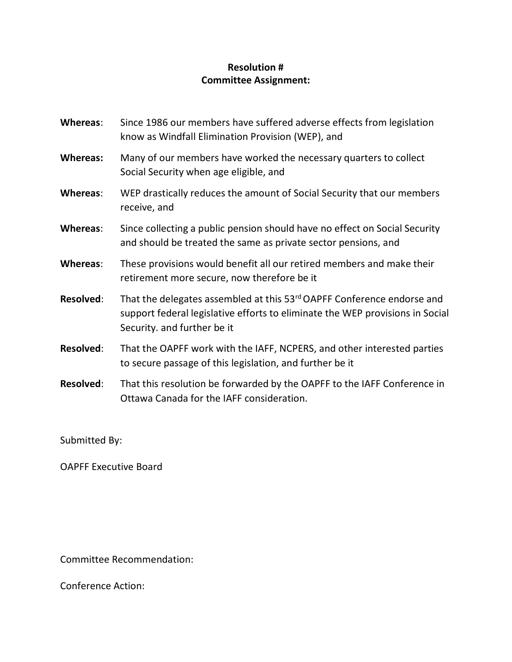| Whereas:         | Since 1986 our members have suffered adverse effects from legislation<br>know as Windfall Elimination Provision (WEP), and                                                             |
|------------------|----------------------------------------------------------------------------------------------------------------------------------------------------------------------------------------|
| <b>Whereas:</b>  | Many of our members have worked the necessary quarters to collect<br>Social Security when age eligible, and                                                                            |
| Whereas:         | WEP drastically reduces the amount of Social Security that our members<br>receive, and                                                                                                 |
| Whereas:         | Since collecting a public pension should have no effect on Social Security<br>and should be treated the same as private sector pensions, and                                           |
| Whereas:         | These provisions would benefit all our retired members and make their<br>retirement more secure, now therefore be it                                                                   |
| <b>Resolved:</b> | That the delegates assembled at this 53rd OAPFF Conference endorse and<br>support federal legislative efforts to eliminate the WEP provisions in Social<br>Security. and further be it |
| <b>Resolved:</b> | That the OAPFF work with the IAFF, NCPERS, and other interested parties<br>to secure passage of this legislation, and further be it                                                    |
| <b>Resolved:</b> | That this resolution be forwarded by the OAPFF to the IAFF Conference in<br>Ottawa Canada for the IAFF consideration.                                                                  |

Submitted By:

OAPFF Executive Board

Committee Recommendation: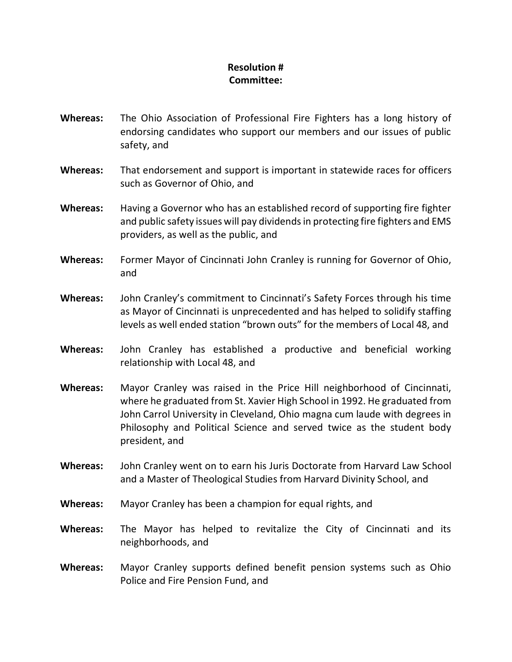- **Whereas:** The Ohio Association of Professional Fire Fighters has a long history of endorsing candidates who support our members and our issues of public safety, and
- **Whereas:** That endorsement and support is important in statewide races for officers such as Governor of Ohio, and
- **Whereas:** Having a Governor who has an established record of supporting fire fighter and public safety issues will pay dividends in protecting fire fighters and EMS providers, as well as the public, and
- **Whereas:** Former Mayor of Cincinnati John Cranley is running for Governor of Ohio, and
- **Whereas:** John Cranley's commitment to Cincinnati's Safety Forces through his time as Mayor of Cincinnati is unprecedented and has helped to solidify staffing levels as well ended station "brown outs" for the members of Local 48, and
- **Whereas:** John Cranley has established a productive and beneficial working relationship with Local 48, and
- **Whereas:** Mayor Cranley was raised in the Price Hill neighborhood of Cincinnati, where he graduated from St. Xavier High School in 1992. He graduated from John Carrol University in Cleveland, Ohio magna cum laude with degrees in Philosophy and Political Science and served twice as the student body president, and
- **Whereas:** John Cranley went on to earn his Juris Doctorate from Harvard Law School and a Master of Theological Studies from Harvard Divinity School, and
- **Whereas:** Mayor Cranley has been a champion for equal rights, and
- **Whereas:** The Mayor has helped to revitalize the City of Cincinnati and its neighborhoods, and
- **Whereas:** Mayor Cranley supports defined benefit pension systems such as Ohio Police and Fire Pension Fund, and